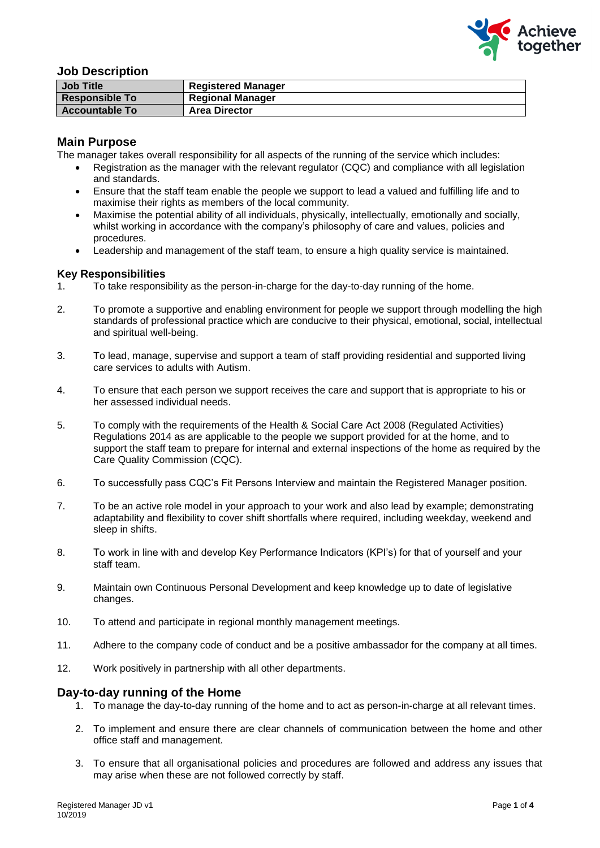

# **Job Description**

| <b>Job Title</b>      | <b>Registered Manager</b> |
|-----------------------|---------------------------|
| <b>Responsible To</b> | <b>Regional Manager</b>   |
| <b>Accountable To</b> | <b>Area Director</b>      |

## **Main Purpose**

The manager takes overall responsibility for all aspects of the running of the service which includes:

- Registration as the manager with the relevant regulator (CQC) and compliance with all legislation and standards.
- Ensure that the staff team enable the people we support to lead a valued and fulfilling life and to maximise their rights as members of the local community.
- Maximise the potential ability of all individuals, physically, intellectually, emotionally and socially, whilst working in accordance with the company's philosophy of care and values, policies and procedures.
- Leadership and management of the staff team, to ensure a high quality service is maintained.

# **Key Responsibilities**

- 1. To take responsibility as the person-in-charge for the day-to-day running of the home.
- 2. To promote a supportive and enabling environment for people we support through modelling the high standards of professional practice which are conducive to their physical, emotional, social, intellectual and spiritual well-being.
- 3. To lead, manage, supervise and support a team of staff providing residential and supported living care services to adults with Autism.
- 4. To ensure that each person we support receives the care and support that is appropriate to his or her assessed individual needs.
- 5. To comply with the requirements of the Health & Social Care Act 2008 (Regulated Activities) Regulations 2014 as are applicable to the people we support provided for at the home, and to support the staff team to prepare for internal and external inspections of the home as required by the Care Quality Commission (CQC).
- 6. To successfully pass CQC's Fit Persons Interview and maintain the Registered Manager position.
- 7. To be an active role model in your approach to your work and also lead by example; demonstrating adaptability and flexibility to cover shift shortfalls where required, including weekday, weekend and sleep in shifts.
- 8. To work in line with and develop Key Performance Indicators (KPI's) for that of yourself and your staff team.
- 9. Maintain own Continuous Personal Development and keep knowledge up to date of legislative changes.
- 10. To attend and participate in regional monthly management meetings.
- 11. Adhere to the company code of conduct and be a positive ambassador for the company at all times.
- 12. Work positively in partnership with all other departments.

## **Day-to-day running of the Home**

- 1. To manage the day-to-day running of the home and to act as person-in-charge at all relevant times.
- 2. To implement and ensure there are clear channels of communication between the home and other office staff and management.
- 3. To ensure that all organisational policies and procedures are followed and address any issues that may arise when these are not followed correctly by staff.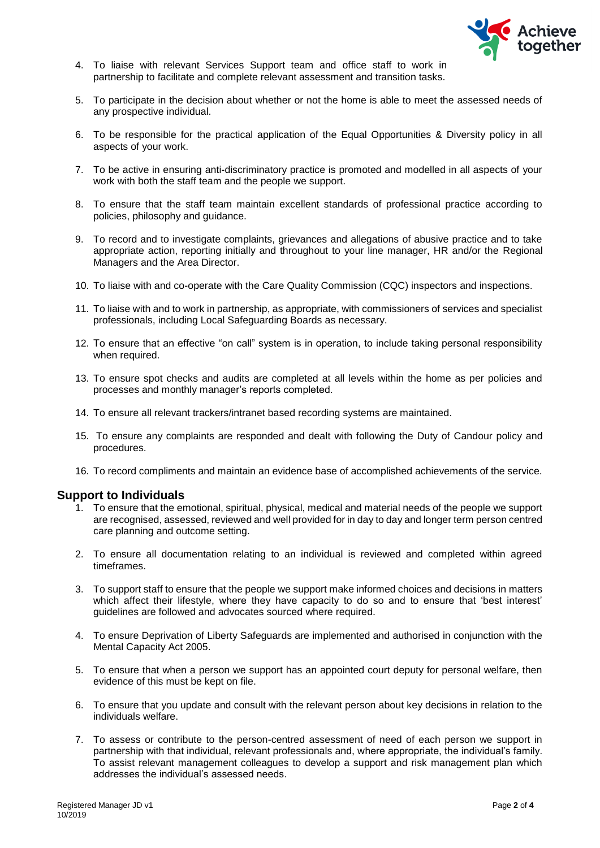

- 4. To liaise with relevant Services Support team and office staff to work in partnership to facilitate and complete relevant assessment and transition tasks.
- 5. To participate in the decision about whether or not the home is able to meet the assessed needs of any prospective individual.
- 6. To be responsible for the practical application of the Equal Opportunities & Diversity policy in all aspects of your work.
- 7. To be active in ensuring anti-discriminatory practice is promoted and modelled in all aspects of your work with both the staff team and the people we support.
- 8. To ensure that the staff team maintain excellent standards of professional practice according to policies, philosophy and guidance.
- 9. To record and to investigate complaints, grievances and allegations of abusive practice and to take appropriate action, reporting initially and throughout to your line manager, HR and/or the Regional Managers and the Area Director.
- 10. To liaise with and co-operate with the Care Quality Commission (CQC) inspectors and inspections.
- 11. To liaise with and to work in partnership, as appropriate, with commissioners of services and specialist professionals, including Local Safeguarding Boards as necessary.
- 12. To ensure that an effective "on call" system is in operation, to include taking personal responsibility when required.
- 13. To ensure spot checks and audits are completed at all levels within the home as per policies and processes and monthly manager's reports completed.
- 14. To ensure all relevant trackers/intranet based recording systems are maintained.
- 15. To ensure any complaints are responded and dealt with following the Duty of Candour policy and procedures.
- 16. To record compliments and maintain an evidence base of accomplished achievements of the service.

## **Support to Individuals**

- 1. To ensure that the emotional, spiritual, physical, medical and material needs of the people we support are recognised, assessed, reviewed and well provided for in day to day and longer term person centred care planning and outcome setting.
- 2. To ensure all documentation relating to an individual is reviewed and completed within agreed timeframes.
- 3. To support staff to ensure that the people we support make informed choices and decisions in matters which affect their lifestyle, where they have capacity to do so and to ensure that 'best interest' guidelines are followed and advocates sourced where required.
- 4. To ensure Deprivation of Liberty Safeguards are implemented and authorised in conjunction with the Mental Capacity Act 2005.
- 5. To ensure that when a person we support has an appointed court deputy for personal welfare, then evidence of this must be kept on file.
- 6. To ensure that you update and consult with the relevant person about key decisions in relation to the individuals welfare.
- 7. To assess or contribute to the person-centred assessment of need of each person we support in partnership with that individual, relevant professionals and, where appropriate, the individual's family. To assist relevant management colleagues to develop a support and risk management plan which addresses the individual's assessed needs.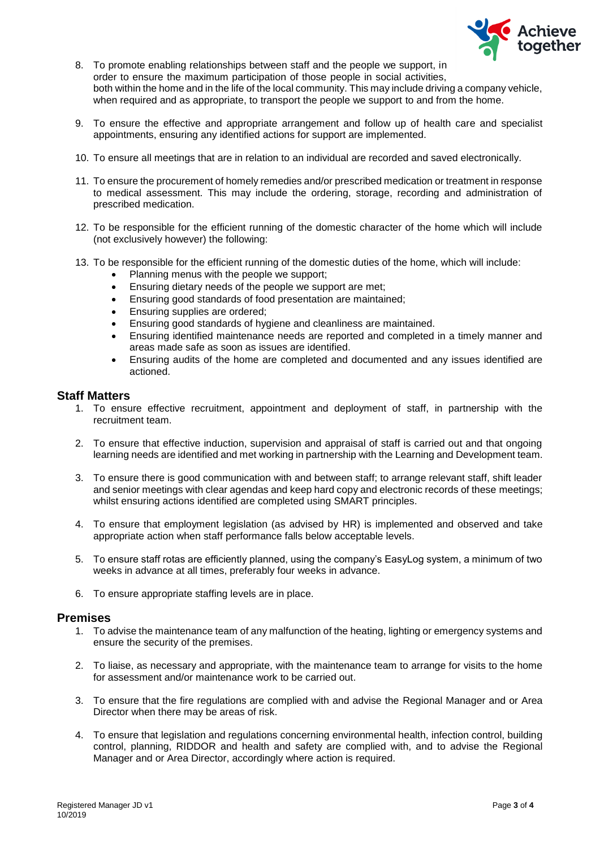

- 8. To promote enabling relationships between staff and the people we support, in order to ensure the maximum participation of those people in social activities, both within the home and in the life of the local community. This may include driving a company vehicle, when required and as appropriate, to transport the people we support to and from the home.
- 9. To ensure the effective and appropriate arrangement and follow up of health care and specialist appointments, ensuring any identified actions for support are implemented.
- 10. To ensure all meetings that are in relation to an individual are recorded and saved electronically.
- 11. To ensure the procurement of homely remedies and/or prescribed medication or treatment in response to medical assessment. This may include the ordering, storage, recording and administration of prescribed medication.
- 12. To be responsible for the efficient running of the domestic character of the home which will include (not exclusively however) the following:
- 13. To be responsible for the efficient running of the domestic duties of the home, which will include:
	- Planning menus with the people we support;
	- Ensuring dietary needs of the people we support are met;
	- Ensuring good standards of food presentation are maintained;
	- Ensuring supplies are ordered;
	- Ensuring good standards of hygiene and cleanliness are maintained.
	- Ensuring identified maintenance needs are reported and completed in a timely manner and areas made safe as soon as issues are identified.
	- Ensuring audits of the home are completed and documented and any issues identified are actioned.

# **Staff Matters**

- 1. To ensure effective recruitment, appointment and deployment of staff, in partnership with the recruitment team.
- 2. To ensure that effective induction, supervision and appraisal of staff is carried out and that ongoing learning needs are identified and met working in partnership with the Learning and Development team.
- 3. To ensure there is good communication with and between staff; to arrange relevant staff, shift leader and senior meetings with clear agendas and keep hard copy and electronic records of these meetings; whilst ensuring actions identified are completed using SMART principles.
- 4. To ensure that employment legislation (as advised by HR) is implemented and observed and take appropriate action when staff performance falls below acceptable levels.
- 5. To ensure staff rotas are efficiently planned, using the company's EasyLog system, a minimum of two weeks in advance at all times, preferably four weeks in advance.
- 6. To ensure appropriate staffing levels are in place.

## **Premises**

- 1. To advise the maintenance team of any malfunction of the heating, lighting or emergency systems and ensure the security of the premises.
- 2. To liaise, as necessary and appropriate, with the maintenance team to arrange for visits to the home for assessment and/or maintenance work to be carried out.
- 3. To ensure that the fire regulations are complied with and advise the Regional Manager and or Area Director when there may be areas of risk.
- 4. To ensure that legislation and regulations concerning environmental health, infection control, building control, planning, RIDDOR and health and safety are complied with, and to advise the Regional Manager and or Area Director, accordingly where action is required.